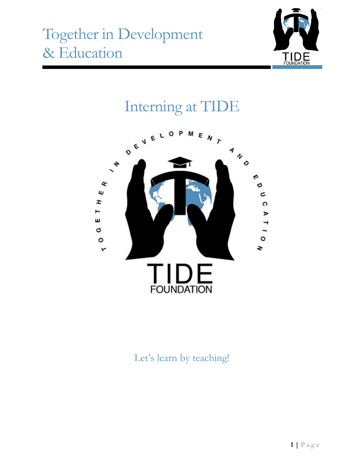

# Interning at TIDE



Let's learn by teaching!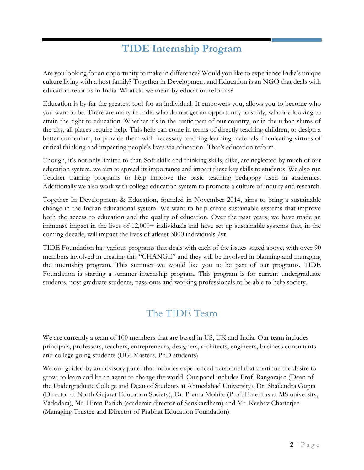## **TIDE Internship Program**

Are you looking for an opportunity to make in difference? Would you like to experience India's unique culture living with a host family? Together in Development and Education is an NGO that deals with education reforms in India. What do we mean by education reforms?

Education is by far the greatest tool for an individual. It empowers you, allows you to become who you want to be. There are many in India who do not get an opportunity to study, who are looking to attain the right to education. Whether it's in the rustic part of our country, or in the urban slums of the city, all places require help. This help can come in terms of directly teaching children, to design a better curriculum, to provide them with necessary teaching learning materials. Inculcating virtues of critical thinking and impacting people's lives via education- That's education reform.

Though, it's not only limited to that. Soft skills and thinking skills, alike, are neglected by much of our education system, we aim to spread its importance and impart these key skills to students. We also run Teacher training programs to help improve the basic teaching pedagogy used in academics. Additionally we also work with college education system to promote a culture of inquiry and research.

Together In Development & Education, founded in November 2014, aims to bring a sustainable change in the Indian educational system. We want to help create sustainable systems that improve both the access to education and the quality of education. Over the past years, we have made an immense impact in the lives of 12,000+ individuals and have set up sustainable systems that, in the coming decade, will impact the lives of atleast 3000 individuals /yr.

TIDE Foundation has various programs that deals with each of the issues stated above, with over 90 members involved in creating this "CHANGE" and they will be involved in planning and managing the internship program. This summer we would like you to be part of our programs. TIDE Foundation is starting a summer internship program. This program is for current undergraduate students, post-graduate students, pass-outs and working professionals to be able to help society.

#### The TIDE Team

We are currently a team of 100 members that are based in US, UK and India. Our team includes principals, professors, teachers, entrepreneurs, designers, architects, engineers, business consultants and college going students (UG, Masters, PhD students).

We our guided by an advisory panel that includes experienced personnel that continue the desire to grow, to learn and be an agent to change the world. Our panel includes Prof. Rangarajan (Dean of the Undergraduate College and Dean of Students at Ahmedabad University), Dr. Shailendra Gupta (Director at North Gujarat Education Society), Dr. Prerna Mohite (Prof. Emeritus at MS university, Vadodara), Mr. Hiren Parikh (academic director of Sanskardham) and Mr. Keshav Chatterjee (Managing Trustee and Director of Prabhat Education Foundation).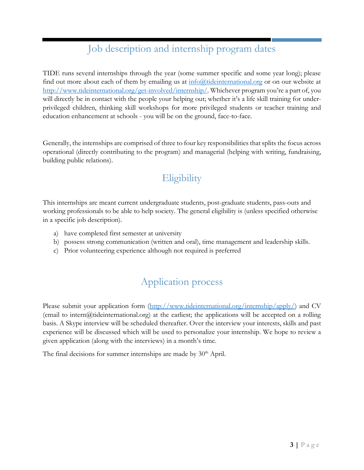### Job description and internship program dates

TIDE runs several internships through the year (some summer specific and some year long); please find out more about each of them by emailing us at  $\inf($ Quideinternational.org or on our website at [http://www.tideinternational.org/get-involved/internship/.](http://www.tideinternational.org/get-involved/internship/) Whichever program you're a part of, you will directly be in contact with the people your helping out; whether it's a life skill training for underprivileged children, thinking skill workshops for more privileged students or teacher training and education enhancement at schools - you will be on the ground, face-to-face.

Generally, the internships are comprised of three to four key responsibilities that splits the focus across operational (directly contributing to the program) and managerial (helping with writing, fundraising, building public relations).

## **Eligibility**

This internships are meant current undergraduate students, post-graduate students, pass-outs and working professionals to be able to help society. The general eligibility is (unless specified otherwise in a specific job description).

- a) have completed first semester at university
- b) possess strong communication (written and oral), time management and leadership skills.
- c) Prior volunteering experience although not required is preferred

## Application process

Please submit your application form [\(http://www.tideinternational.org/internship/apply/\)](http://www.tideinternational.org/internship/apply/) and CV  $($ email to intern $@$ tideinternational.org) at the earliest; the applications will be accepted on a rolling basis. A Skype interview will be scheduled thereafter. Over the interview your interests, skills and past experience will be discussed which will be used to personalize your internship. We hope to review a given application (along with the interviews) in a month's time.

The final decisions for summer internships are made by 30<sup>th</sup> April.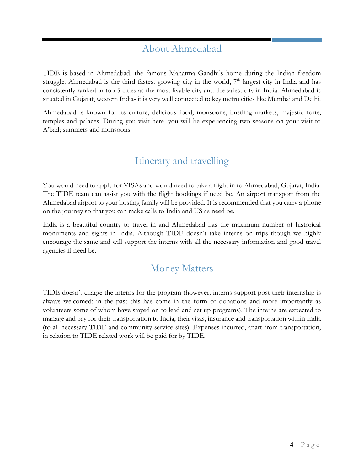#### About Ahmedabad

TIDE is based in Ahmedabad, the famous Mahatma Gandhi's home during the Indian freedom struggle. Ahmedabad is the third fastest growing city in the world,  $7<sup>th</sup>$  largest city in India and has consistently ranked in top 5 cities as the most livable city and the safest city in India. Ahmedabad is situated in Gujarat, western India- it is very well connected to key metro cities like Mumbai and Delhi.

Ahmedabad is known for its culture, delicious food, monsoons, bustling markets, majestic forts, temples and palaces. During you visit here, you will be experiencing two seasons on your visit to A'bad; summers and monsoons.

## Itinerary and travelling

You would need to apply for VISAs and would need to take a flight in to Ahmedabad, Gujarat, India. The TIDE team can assist you with the flight bookings if need be. An airport transport from the Ahmedabad airport to your hosting family will be provided. It is recommended that you carry a phone on the journey so that you can make calls to India and US as need be.

India is a beautiful country to travel in and Ahmedabad has the maximum number of historical monuments and sights in India. Although TIDE doesn't take interns on trips though we highly encourage the same and will support the interns with all the necessary information and good travel agencies if need be.

#### Money Matters

TIDE doesn't charge the interns for the program (however, interns support post their internship is always welcomed; in the past this has come in the form of donations and more importantly as volunteers some of whom have stayed on to lead and set up programs). The interns are expected to manage and pay for their transportation to India, their visas, insurance and transportation within India (to all necessary TIDE and community service sites). Expenses incurred, apart from transportation, in relation to TIDE related work will be paid for by TIDE.